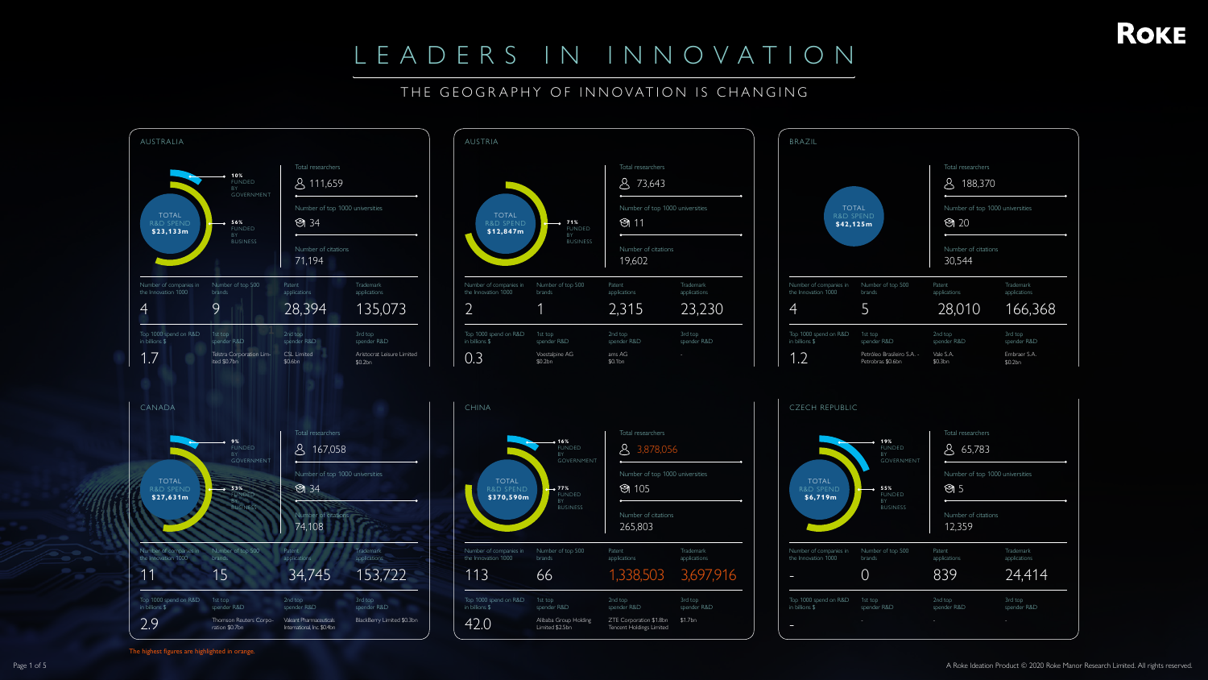#### THE GEOGRAPHY OF INNOVATION IS CHANGING

The highest figures are highlighted in orange.

| 71%<br><b>FUNDED</b><br>BY<br><b>BUSINESS</b> | Total researchers<br>73,643<br>Number of top 1000 universities<br>ම් 11<br>Number of citations<br>19,602 |                                     |
|-----------------------------------------------|----------------------------------------------------------------------------------------------------------|-------------------------------------|
| cop 500                                       | Patent<br>applications<br>2,315                                                                          | Trademark<br>applications<br>23,230 |
| 7<br>AG                                       | 2nd top<br>spender R&D<br>ams AG<br>\$0.1bn                                                              | 3rd top<br>spender R&D              |





Top 1000 spend on R&D 1st top

in billions \$

spender R&D

2nd top spender R&D 3rd top spender R&D



- - - -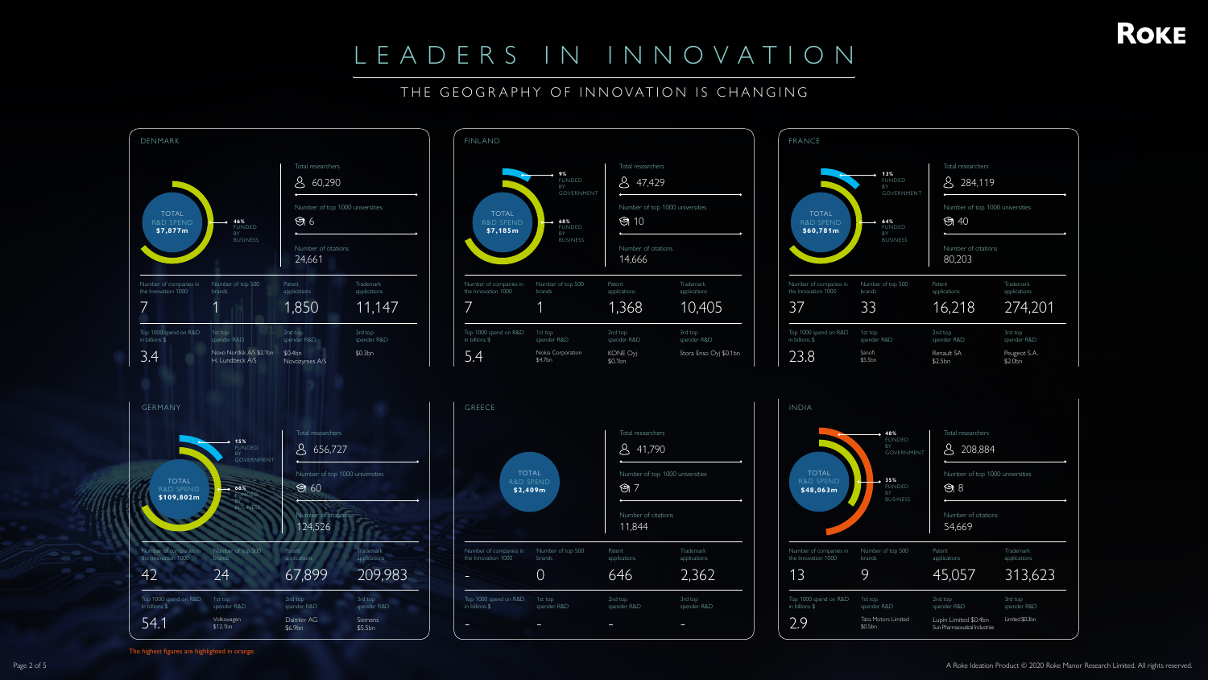#### THE GEOGRAPHY OF INNOVATION IS CHANGING

The highest figures are highlighted in orange.







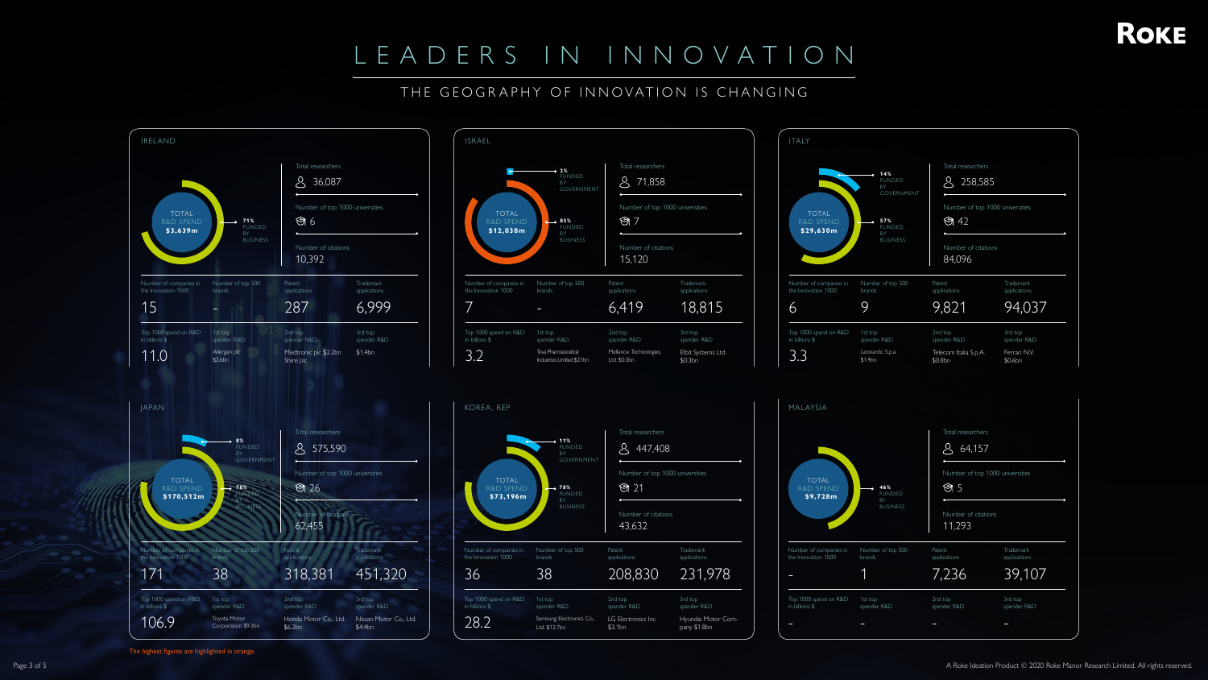## THE GEOGRAPHY OF INNOVATION IS CHANGING

The highest figures are highlighted in orange.



ITALY



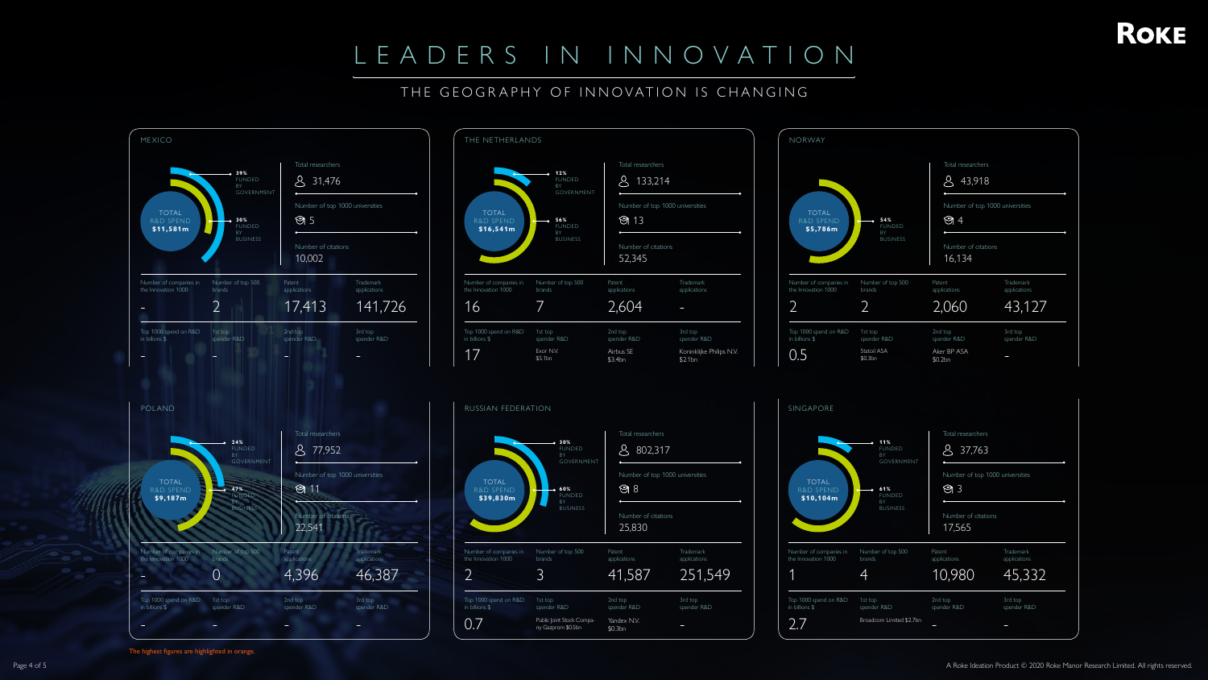### THE GEOGRAPHY OF INNOVATION IS CHANGING



The highest figures are highlighted in orange.